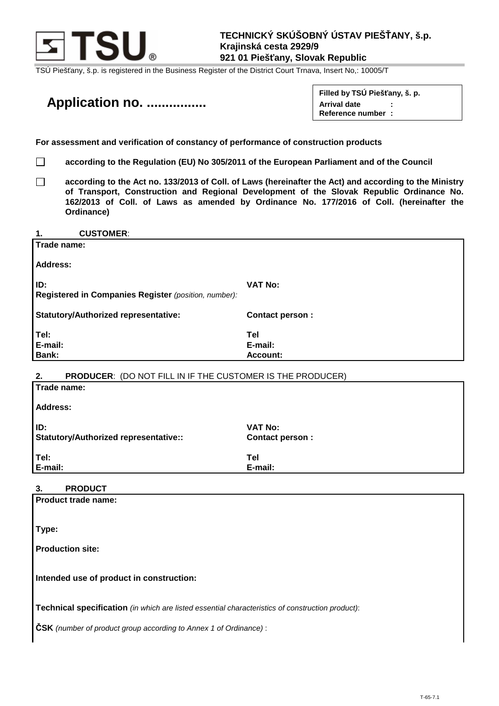

TSÚ Piešťany, š.p. is registered in the Business Register of the District Court Trnava, Insert No,: 10005/T

# **Application no. ................**

**Filled by TSÚ Piešťany, š. p. Arrival date : Reference number :**

## **For assessment and verification of constancy of performance of construction products**

**according to the Regulation (EU) No 305/2011 of the European Parliament and of the Council**

□ according to the Act no. 133/2013 of Coll. of Laws (hereinafter the Act) and according to the Ministry **of Transport, Construction and Regional Development of the Slovak Republic Ordinance No. 162/2013 of Coll. of Laws as amended by Ordinance No. 177/2016 of Coll. (hereinafter the Ordinance)** 

| <b>CUSTOMER:</b><br>1.                                                  |                        |  |
|-------------------------------------------------------------------------|------------------------|--|
| Trade name:                                                             |                        |  |
| <b>Address:</b>                                                         |                        |  |
| ID:                                                                     | <b>VAT No:</b>         |  |
| Registered in Companies Register (position, number):                    |                        |  |
|                                                                         |                        |  |
| <b>Statutory/Authorized representative:</b>                             | Contact person:        |  |
| Tel:                                                                    | Tel                    |  |
| E-mail:                                                                 | E-mail:                |  |
| Bank:                                                                   | <b>Account:</b>        |  |
| <b>PRODUCER: (DO NOT FILL IN IF THE CUSTOMER IS THE PRODUCER)</b><br>2. |                        |  |
| Trade name:                                                             |                        |  |
| <b>Address:</b>                                                         |                        |  |
| ID:                                                                     | <b>VAT No:</b>         |  |
| Statutory/Authorized representative::                                   | <b>Contact person:</b> |  |

# **3. PRODUCT**

**Tel: E-mail:** 

**Tel E-mail:**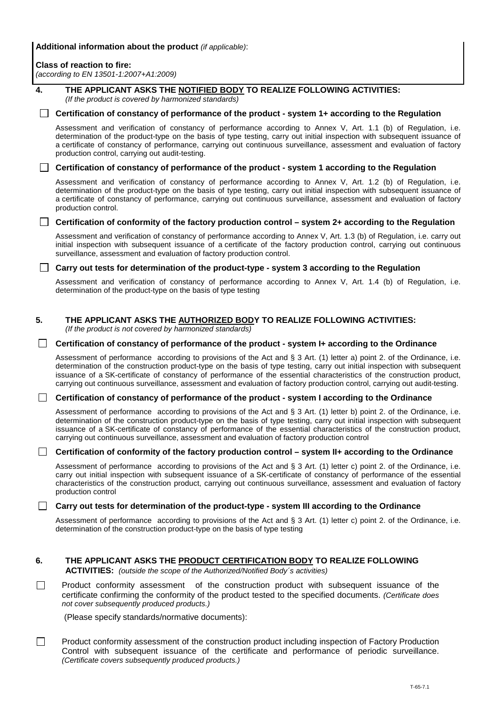## **Additional information about the product** (if applicable):

#### **Class of reaction to fire:**

(according to EN 13501-1:2007+A1:2009)

#### **4. THE APPLICANT ASKS THE NOTIFIED BODY TO REALIZE FOLLOWING ACTIVITIES:**  (If the product is covered by harmonized standards)

#### **Certification of constancy of performance of the product - system 1+ according to the Regulation**

Assessment and verification of constancy of performance according to Annex V, Art. 1.1 (b) of Regulation, i.e. determination of the product-type on the basis of type testing, carry out initial inspection with subsequent issuance of a certificate of constancy of performance, carrying out continuous surveillance, assessment and evaluation of factory production control, carrying out audit-testing.

#### **Certification of constancy of performance of the product - system 1 according to the Regulation**

Assessment and verification of constancy of performance according to Annex V, Art. 1.2 (b) of Regulation, i.e. determination of the product-type on the basis of type testing, carry out initial inspection with subsequent issuance of a certificate of constancy of performance, carrying out continuous surveillance, assessment and evaluation of factory production control.

### **Certification of conformity of the factory production control – system 2+ according to the Regulation**

Assessment and verification of constancy of performance according to Annex V, Art. 1.3 (b) of Regulation, i.e. carry out initial inspection with subsequent issuance of a certificate of the factory production control, carrying out continuous surveillance, assessment and evaluation of factory production control.

#### **Carry out tests for determination of the product-type - system 3 according to the Regulation**

Assessment and verification of constancy of performance according to Annex V, Art. 1.4 (b) of Regulation, i.e. determination of the product-type on the basis of type testing

# **5. THE APPLICANT ASKS THE AUTHORIZED BODY TO REALIZE FOLLOWING ACTIVITIES:**

(If the product is not covered by harmonized standards)

#### **Certification of constancy of performance of the product - system I+ according to the Ordinance**

Assessment of performance according to provisions of the Act and § 3 Art. (1) letter a) point 2. of the Ordinance, i.e. determination of the construction product-type on the basis of type testing, carry out initial inspection with subsequent issuance of a SK-certificate of constancy of performance of the essential characteristics of the construction product, carrying out continuous surveillance, assessment and evaluation of factory production control, carrying out audit-testing.

#### **Certification of constancy of performance of the product - system I according to the Ordinance**

Assessment of performance according to provisions of the Act and § 3 Art. (1) letter b) point 2. of the Ordinance, i.e. determination of the construction product-type on the basis of type testing, carry out initial inspection with subsequent issuance of a SK-certificate of constancy of performance of the essential characteristics of the construction product, carrying out continuous surveillance, assessment and evaluation of factory production control

#### **Certification of conformity of the factory production control – system II+ according to the Ordinance**

Assessment of performance according to provisions of the Act and § 3 Art. (1) letter c) point 2. of the Ordinance, i.e. carry out initial inspection with subsequent issuance of a SK-certificate of constancy of performance of the essential characteristics of the construction product, carrying out continuous surveillance, assessment and evaluation of factory production control

#### **Carry out tests for determination of the product-type - system III according to the Ordinance**

Assessment of performance according to provisions of the Act and § 3 Art. (1) letter c) point 2. of the Ordinance, i.e. determination of the construction product-type on the basis of type testing

# **6. THE APPLICANT ASKS THE PRODUCT CERTIFICATION BODY TO REALIZE FOLLOWING**

**ACTIVITIES:** (outside the scope of the Authorized/Notified Body´s activities)

Product conformity assessment of the construction product with subsequent issuance of the certificate confirming the conformity of the product tested to the specified documents. (Certificate does not cover subsequently produced products.)

(Please specify standards/normative documents):

Product conformity assessment of the construction product including inspection of Factory Production Control with subsequent issuance of the certificate and performance of periodic surveillance. (Certificate covers subsequently produced products.)